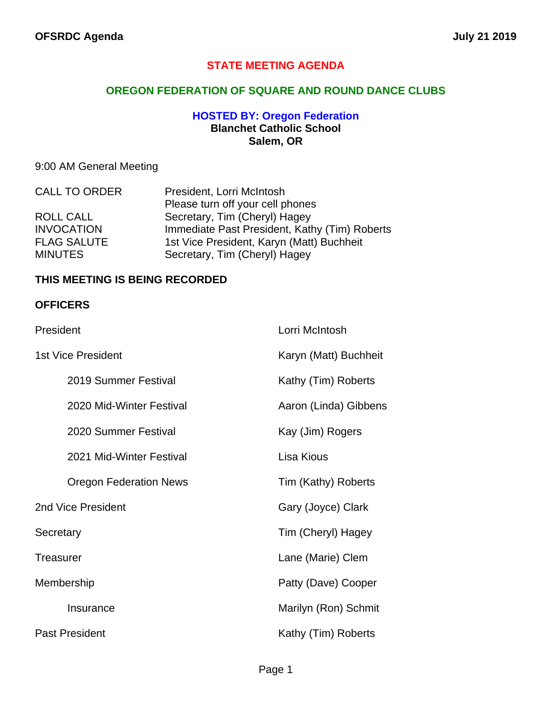#### **STATE MEETING AGENDA**

#### **OREGON FEDERATION OF SQUARE AND ROUND DANCE CLUBS**

#### **HOSTED BY: Oregon Federation Blanchet Catholic School Salem, OR**

## 9:00 AM General Meeting

| <b>CALL TO ORDER</b> | President, Lorri McIntosh                     |  |
|----------------------|-----------------------------------------------|--|
|                      | Please turn off your cell phones              |  |
| <b>ROLL CALL</b>     | Secretary, Tim (Cheryl) Hagey                 |  |
| <b>INVOCATION</b>    | Immediate Past President, Kathy (Tim) Roberts |  |
| <b>FLAG SALUTE</b>   | 1st Vice President, Karyn (Matt) Buchheit     |  |
| <b>MINUTES</b>       | Secretary, Tim (Cheryl) Hagey                 |  |

#### **THIS MEETING IS BEING RECORDED**

#### **OFFICERS**

| President                     | Lorri McIntosh        |
|-------------------------------|-----------------------|
| 1st Vice President            | Karyn (Matt) Buchheit |
| 2019 Summer Festival          | Kathy (Tim) Roberts   |
| 2020 Mid-Winter Festival      | Aaron (Linda) Gibbens |
| 2020 Summer Festival          | Kay (Jim) Rogers      |
| 2021 Mid-Winter Festival      | Lisa Kious            |
| <b>Oregon Federation News</b> | Tim (Kathy) Roberts   |
| 2nd Vice President            | Gary (Joyce) Clark    |
| Secretary                     | Tim (Cheryl) Hagey    |
| Treasurer                     | Lane (Marie) Clem     |
| Membership                    | Patty (Dave) Cooper   |
| Insurance                     | Marilyn (Ron) Schmit  |
| <b>Past President</b>         | Kathy (Tim) Roberts   |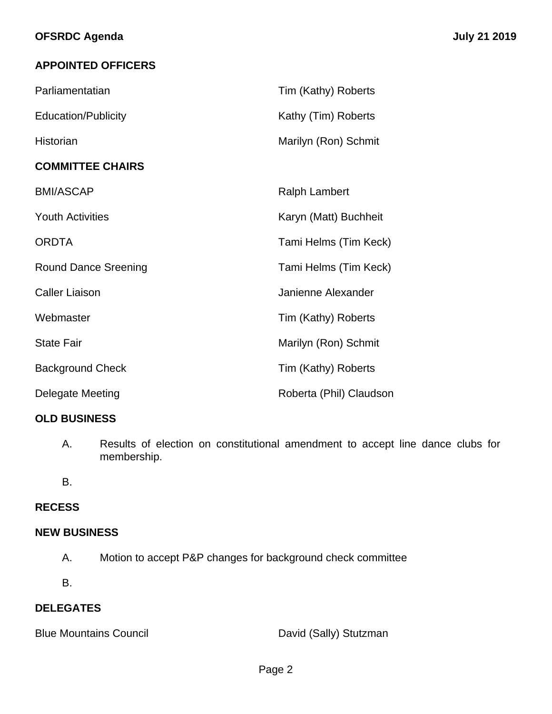## **APPOINTED OFFICERS**

| Parliamentatian             | Tim (Kathy) Roberts     |
|-----------------------------|-------------------------|
| <b>Education/Publicity</b>  | Kathy (Tim) Roberts     |
| Historian                   | Marilyn (Ron) Schmit    |
| <b>COMMITTEE CHAIRS</b>     |                         |
| <b>BMI/ASCAP</b>            | <b>Ralph Lambert</b>    |
| <b>Youth Activities</b>     | Karyn (Matt) Buchheit   |
| <b>ORDTA</b>                | Tami Helms (Tim Keck)   |
| <b>Round Dance Sreening</b> | Tami Helms (Tim Keck)   |
| <b>Caller Liaison</b>       | Janienne Alexander      |
| Webmaster                   | Tim (Kathy) Roberts     |
| <b>State Fair</b>           | Marilyn (Ron) Schmit    |
| <b>Background Check</b>     | Tim (Kathy) Roberts     |
| Delegate Meeting            | Roberta (Phil) Claudson |

## **OLD BUSINESS**

A. Results of election on constitutional amendment to accept line dance clubs for membership.

B.

## **RECESS**

#### **NEW BUSINESS**

- A. Motion to accept P&P changes for background check committee
- B.

#### **DELEGATES**

Blue Mountains Council **David (Sally)** Stutzman